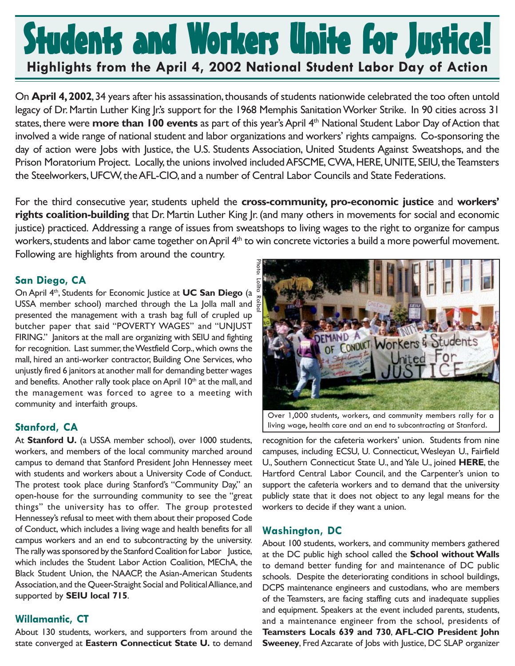# Students and Workers Unite for Justice! **Highlights from the April 4, 2002 National Student Labor Day of Action**

On **April 4, 2002**, 34 years after his assassination, thousands of students nationwide celebrated the too often untold legacy of Dr. Martin Luther King Jr.'s support for the 1968 Memphis Sanitation Worker Strike. In 90 cities across 31 states, there were **more than 100 events** as part of this year's April 4th National Student Labor Day of Action that involved a wide range of national student and labor organizations and workers' rights campaigns. Co-sponsoring the day of action were Jobs with Justice, the U.S. Students Association, United Students Against Sweatshops, and the Prison Moratorium Project. Locally, the unions involved included AFSCME, CWA, HERE, UNITE, SEIU, the Teamsters the Steelworkers, UFCW, the AFL-CIO, and a number of Central Labor Councils and State Federations.

For the third consecutive year, students upheld the **cross-community, pro-economic justice** and **workers' rights coalition-building** that Dr. Martin Luther King Jr. (and many others in movements for social and economic justice) practiced. Addressing a range of issues from sweatshops to living wages to the right to organize for campus workers, students and labor came together on April 4<sup>th</sup> to win concrete victories a build a more powerful movement.

Following are highlights from around the country.

## **San Diego, CA**

On April 4th, Students for Economic Justice at **UC San Diego** (a USSA member school) marched through the La Jolla mall and  $\frac{5}{5}$ presented the management with a trash bag full of crupled up butcher paper that said "POVERTY WAGES" and "UNJUST FIRING." Janitors at the mall are organizing with SEIU and fighting for recognition. Last summer, the Westfield Corp., which owns the mall, hired an anti-worker contractor, Building One Services, who unjustly fired 6 janitors at another mall for demanding better wages and benefits. Another rally took place on April 10<sup>th</sup> at the mall, and the management was forced to agree to a meeting with community and interfaith groups.

# **Stanford, CA**

At **Stanford U.** (a USSA member school), over 1000 students, workers, and members of the local community marched around campus to demand that Stanford President John Hennessey meet with students and workers about a University Code of Conduct. The protest took place during Stanford's "Community Day," an open-house for the surrounding community to see the "great things" the university has to offer. The group protested Hennessey's refusal to meet with them about their proposed Code of Conduct, which includes a living wage and health benefits for all campus workers and an end to subcontracting by the university. The rally was sponsored by the Stanford Coalition for Labor Justice, which includes the Student Labor Action Coalition, MEChA, the Black Student Union, the NAACP, the Asian-American Students Association, and the Queer-Straight Social and Political Alliance, and supported by **SEIU local 715**.

# **Willamantic, CT**

About 130 students, workers, and supporters from around the state converged at **Eastern Connecticut State U.** to demand



living wage, health care and an end to subcontracting at Stanford.

recognition for the cafeteria workers' union. Students from nine campuses, including ECSU, U. Connecticut, Wesleyan U., Fairfield U., Southern Connecticut State U., and Yale U., joined **HERE**, the Hartford Central Labor Council, and the Carpenter's union to support the cafeteria workers and to demand that the university publicly state that it does not object to any legal means for the workers to decide if they want a union.

#### **Washington, DC**

About 100 students, workers, and community members gathered at the DC public high school called the **School without Walls** to demand better funding for and maintenance of DC public schools. Despite the deteriorating conditions in school buildings, DCPS maintenance engineers and custodians, who are members of the Teamsters, are facing staffing cuts and inadequate supplies and equipment. Speakers at the event included parents, students, and a maintenance engineer from the school, presidents of **Teamsters Locals 639 and 730**, **AFL-CIO President John Sweeney**, Fred Azcarate of Jobs with Justice, DC SLAP organizer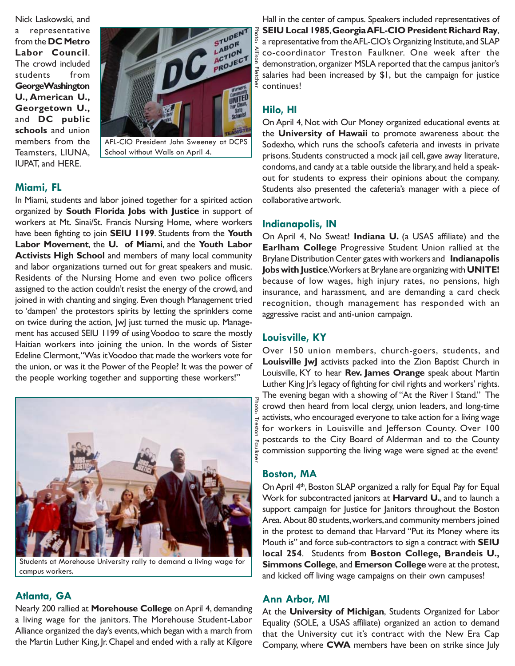Nick Laskowski, and a representative from the **DC Metro Labor Council**. The crowd included students from **GeorgeWashington U., American U., Georgetown U.,** and **DC public schools** and union members from the Teamsters, LIUNA, IUPAT, and HERE.



AFL-CIO President John Sweeney at DCPS School without Walls on April 4.

#### **Miami, FL**

In Miami, students and labor joined together for a spirited action organized by **South Florida Jobs with Justice** in support of workers at Mt. Sinai/St. Francis Nursing Home, where workers have been fighting to join **SEIU 1199**. Students from the **Youth Labor Movement**, the **U. of Miami**, and the **Youth Labor Activists High School** and members of many local community and labor organizations turned out for great speakers and music. Residents of the Nursing Home and even two police officers assigned to the action couldn't resist the energy of the crowd, and joined in with chanting and singing. Even though Management tried to 'dampen' the protestors spirits by letting the sprinklers come on twice during the action, JwJ just turned the music up. Management has accused SEIU 1199 of using Voodoo to scare the mostly Haitian workers into joining the union. In the words of Sister Edeline Clermont, "Was it Voodoo that made the workers vote for the union, or was it the Power of the People? It was the power of the people working together and supporting these workers!"



Students at Morehouse University rally to demand a living wage for campus workers.

#### **Atlanta, GA**

Nearly 200 rallied at **Morehouse College** on April 4, demanding a living wage for the janitors. The Morehouse Student-Labor Alliance organized the day's events, which began with a march from the Martin Luther King, Jr. Chapel and ended with a rally at Kilgore

Hall in the center of campus. Speakers included representatives of **SEIU Local 1985**, **Georgia AFL-CIO President Richard Ray**, a representative from the AFL-CIO's Organizing Institute, and SLAP co-coordinator Treston Faulkner. One week after the demonstration, organizer MSLA reported that the campus janitor's salaries had been increased by \$1, but the campaign for justice continues!

## **Hilo, HI**

Photo: Allison Fletcher

On April 4, Not with Our Money organized educational events at the **University of Hawaii** to promote awareness about the Sodexho, which runs the school's cafeteria and invests in private prisons. Students constructed a mock jail cell, gave away literature, condoms, and candy at a table outside the library, and held a speakout for students to express their opinions about the company. Students also presented the cafeteria's manager with a piece of collaborative artwork.

#### **Indianapolis, IN**

On April 4, No Sweat! **Indiana U.** (a USAS affiliate) and the **Earlham College** Progressive Student Union rallied at the Brylane Distribution Center gates with workers and **Indianapolis Jobs with Justice**. Workers at Brylane are organizing with **UNITE!** because of low wages, high injury rates, no pensions, high insurance, and harassment, and are demanding a card check recognition, though management has responded with an aggressive racist and anti-union campaign.

#### **Louisville, KY**

Over 150 union members, church-goers, students, and **Louisville JwJ** activists packed into the Zion Baptist Church in Louisville, KY to hear **Rev. James Orange** speak about Martin Luther King Jr's legacy of fighting for civil rights and workers' rights. The evening began with a showing of "At the River I Stand." The crowd then heard from local clergy, union leaders, and long-time activists, who encouraged everyone to take action for a living wage for workers in Louisville and Jefferson County. Over 100 postcards to the City Board of Alderman and to the County commission supporting the living wage were signed at the event!

#### **Boston, MA**

Photo: Treston Faulkner

On April 4<sup>th</sup>, Boston SLAP organized a rally for Equal Pay for Equal Work for subcontracted janitors at **Harvard U.**, and to launch a support campaign for Justice for Janitors throughout the Boston Area. About 80 students, workers, and community members joined in the protest to demand that Harvard "Put its Money where its Mouth is" and force sub-contractors to sign a contract with **SEIU local 254**. Students from **Boston College, Brandeis U., Simmons College**, and **Emerson College** were at the protest, and kicked off living wage campaigns on their own campuses!

#### **Ann Arbor, MI**

At the **University of Michigan**, Students Organized for Labor Equality (SOLE, a USAS affiliate) organized an action to demand that the University cut it's contract with the New Era Cap Company, where **CWA** members have been on strike since July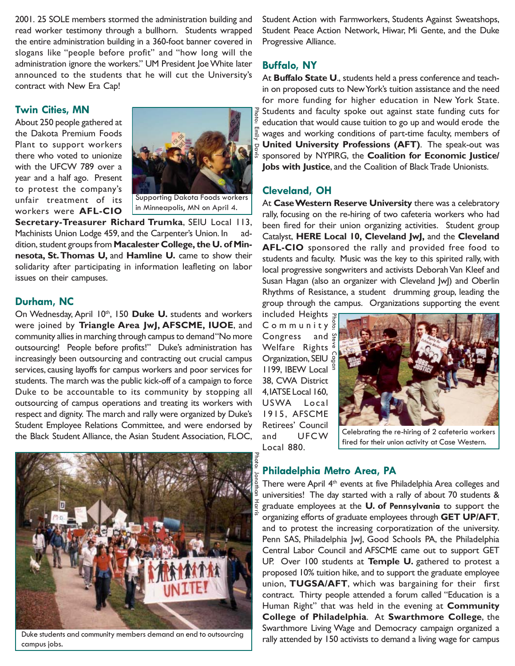2001. 25 SOLE members stormed the administration building and read worker testimony through a bullhorn. Students wrapped the entire administration building in a 360-foot banner covered in slogans like "people before profit" and "how long will the administration ignore the workers." UM President Joe White later announced to the students that he will cut the University's contract with New Era Cap!

#### **Twin Cities, MN**

About 250 people gathered at the Dakota Premium Foods Plant to support workers there who voted to unionize with the UFCW 789 over a year and a half ago. Present to protest the company's unfair treatment of its workers were **AFL-CIO**



**Secretary-Treasurer Richard Trumka**, SEIU Local 113, Machinists Union Lodge 459, and the Carpenter's Union. In addition, student groups from **Macalester College, the U. of Minnesota, St. Thomas U,** and **Hamline U.** came to show their solidarity after participating in information leafleting on labor issues on their campuses.

#### **Durham, NC**

On Wednesday, April 10<sup>th</sup>, 150 Duke U. students and workers were joined by **Triangle Area JwJ, AFSCME, IUOE**, and community allies in marching through campus to demand "No more outsourcing! People before profits!" Duke's administration has increasingly been outsourcing and contracting out crucial campus services, causing layoffs for campus workers and poor services for students. The march was the public kick-off of a campaign to force Duke to be accountable to its community by stopping all outsourcing of campus operations and treating its workers with respect and dignity. The march and rally were organized by Duke's Student Employee Relations Committee, and were endorsed by the Black Student Alliance, the Asian Student Association, FLOC,



Duke students and community members demand an end to outsourcing campus jobs.

Student Action with Farmworkers, Students Against Sweatshops, Student Peace Action Network, Hiwar, Mi Gente, and the Duke Progressive Alliance.

#### **Buffalo, NY**

At **Buffalo State U**., students held a press conference and teachin on proposed cuts to New York's tuition assistance and the need for more funding for higher education in New York State. Students and faculty spoke out against state funding cuts for education that would cause tuition to go up and would erode the wages and working conditions of part-time faculty, members of **United University Professions (AFT)**. The speak-out was sponsored by NYPIRG, the **Coalition for Economic Justice/ Jobs with Justice**, and the Coalition of Black Trade Unionists.

#### **Cleveland, OH**

At **Case Western Reserve University** there was a celebratory rally, focusing on the re-hiring of two cafeteria workers who had been fired for their union organizing activities. Student group Catalyst, **HERE Local 10, Cleveland JwJ,** and the **Cleveland AFL-CIO** sponsored the rally and provided free food to students and faculty. Music was the key to this spirited rally, with local progressive songwriters and activists Deborah Van Kleef and Susan Hagan (also an organizer with Cleveland JwJ) and Oberlin Rhythms of Resistance, a student drumming group, leading the group through the campus. Organizations supporting the event

included Heights Community<sup>3</sup> Congress and  $\frac{60}{6}$ Welfare Rights<sup>®</sup> **Organization, SEIU &** 1199, IBEW Local  $\frac{9}{3}$ 38, CWA District 4, IATSE Local 160, USWA Local 1915, AFSCME Retirees' Council and UFCW Local 880.

Photo: Jonathan Harris



Celebrating the re-hiring of 2 cafeteria workers fired for their union activity at Case Western.

#### **Philadelphia Metro Area, PA**

There were April 4<sup>th</sup> events at five Philadelphia Area colleges and universities! The day started with a rally of about 70 students & graduate employees at the **U. of Pennsylvania** to support the organizing efforts of graduate employees through **GET UP/AFT**, and to protest the increasing corporatization of the university. Penn SAS, Philadelphia JwJ, Good Schools PA, the Philadelphia Central Labor Council and AFSCME came out to support GET UP. Over 100 students at **Temple U.** gathered to protest a proposed 10% tuition hike, and to support the graduate employee union, **TUGSA/AFT**, which was bargaining for their first contract. Thirty people attended a forum called "Education is a Human Right" that was held in the evening at **Community College of Philadelphia**. At **Swarthmore College**, the Swarthmore Living Wage and Democracy campaign organized a rally attended by 150 activists to demand a living wage for campus